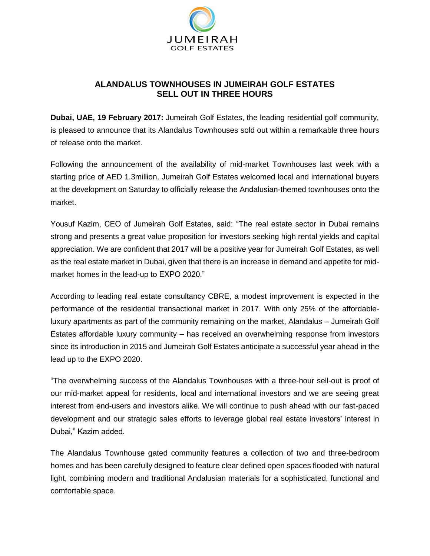

## **ALANDALUS TOWNHOUSES IN JUMEIRAH GOLF ESTATES SELL OUT IN THREE HOURS**

**Dubai, UAE, 19 February 2017:** Jumeirah Golf Estates, the leading residential golf community, is pleased to announce that its Alandalus Townhouses sold out within a remarkable three hours of release onto the market.

Following the announcement of the availability of mid-market Townhouses last week with a starting price of AED 1.3million, Jumeirah Golf Estates welcomed local and international buyers at the development on Saturday to officially release the Andalusian-themed townhouses onto the market.

Yousuf Kazim, CEO of Jumeirah Golf Estates, said: "The real estate sector in Dubai remains strong and presents a great value proposition for investors seeking high rental yields and capital appreciation. We are confident that 2017 will be a positive year for Jumeirah Golf Estates, as well as the real estate market in Dubai, given that there is an increase in demand and appetite for midmarket homes in the lead-up to EXPO 2020."

According to leading real estate consultancy CBRE, a modest improvement is expected in the performance of the residential transactional market in 2017. With only 25% of the affordableluxury apartments as part of the community remaining on the market, Alandalus – Jumeirah Golf Estates affordable luxury community – has received an overwhelming response from investors since its introduction in 2015 and Jumeirah Golf Estates anticipate a successful year ahead in the lead up to the EXPO 2020.

"The overwhelming success of the Alandalus Townhouses with a three-hour sell-out is proof of our mid-market appeal for residents, local and international investors and we are seeing great interest from end-users and investors alike. We will continue to push ahead with our fast-paced development and our strategic sales efforts to leverage global real estate investors' interest in Dubai," Kazim added.

The Alandalus Townhouse gated community features a collection of two and three-bedroom homes and has been carefully designed to feature clear defined open spaces flooded with natural light, combining modern and traditional Andalusian materials for a sophisticated, functional and comfortable space.